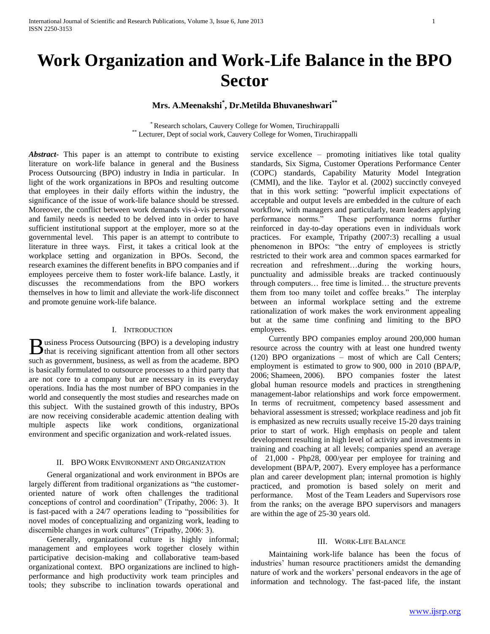# **Work Organization and Work-Life Balance in the BPO Sector**

# **Mrs. A.Meenakshi\* , Dr.Metilda Bhuvaneshwari\*\***

\* Research scholars, Cauvery College for Women, Tiruchirappalli \*\* Lecturer, Dept of social work, Cauvery College for Women, Tiruchirappalli

*Abstract***-** This paper is an attempt to contribute to existing literature on work-life balance in general and the Business Process Outsourcing (BPO) industry in India in particular. In light of the work organizations in BPOs and resulting outcome that employees in their daily efforts within the industry, the significance of the issue of work-life balance should be stressed. Moreover, the conflict between work demands vis-à-vis personal and family needs is needed to be delved into in order to have sufficient institutional support at the employer, more so at the governmental level. This paper is an attempt to contribute to literature in three ways. First, it takes a critical look at the workplace setting and organization in BPOs. Second, the research examines the different benefits in BPO companies and if employees perceive them to foster work-life balance. Lastly, it discusses the recommendations from the BPO workers themselves in how to limit and alleviate the work-life disconnect and promote genuine work-life balance.

## I. INTRODUCTION

usiness Process Outsourcing (BPO) is a developing industry **th**usiness Process Outsourcing (BPO) is a developing industry that is receiving significant attention from all other sectors such as government, business, as well as from the academe. BPO is basically formulated to outsource processes to a third party that are not core to a company but are necessary in its everyday operations. India has the most number of BPO companies in the world and consequently the most studies and researches made on this subject. With the sustained growth of this industry, BPOs are now receiving considerable academic attention dealing with multiple aspects like work conditions, organizational environment and specific organization and work-related issues.

### II. BPO WORK ENVIRONMENT AND ORGANIZATION

 General organizational and work environment in BPOs are largely different from traditional organizations as "the customeroriented nature of work often challenges the traditional conceptions of control and coordination" (Tripathy, 2006: 3). It is fast-paced with a 24/7 operations leading to "possibilities for novel modes of conceptualizing and organizing work, leading to discernible changes in work cultures" (Tripathy, 2006: 3).

 Generally, organizational culture is highly informal; management and employees work together closely within participative decision-making and collaborative team-based organizational context. BPO organizations are inclined to highperformance and high productivity work team principles and tools; they subscribe to inclination towards operational and

service excellence – promoting initiatives like total quality standards, Six Sigma, Customer Operations Performance Center (COPC) standards, Capability Maturity Model Integration (CMMI), and the like. Taylor et al. (2002) succinctly conveyed that in this work setting: "powerful implicit expectations of acceptable and output levels are embedded in the culture of each workflow, with managers and particularly, team leaders applying performance norms." These performance norms further reinforced in day-to-day operations even in individuals work practices. For example, Tripathy (2007:3) recalling a usual phenomenon in BPOs: "the entry of employees is strictly restricted to their work area and common spaces earmarked for recreation and refreshment…during the working hours, punctuality and admissible breaks are tracked continuously through computers… free time is limited… the structure prevents them from too many toilet and coffee breaks." The interplay between an informal workplace setting and the extreme rationalization of work makes the work environment appealing but at the same time confining and limiting to the BPO employees.

 Currently BPO companies employ around 200,000 human resource across the country with at least one hundred twenty (120) BPO organizations – most of which are Call Centers; employment is estimated to grow to 900, 000 in 2010 (BPA/P, 2006; Shameen, 2006). BPO companies foster the latest global human resource models and practices in strengthening management-labor relationships and work force empowerment. In terms of recruitment, competency based assessment and behavioral assessment is stressed; workplace readiness and job fit is emphasized as new recruits usually receive 15-20 days training prior to start of work. High emphasis on people and talent development resulting in high level of activity and investments in training and coaching at all levels; companies spend an average of 21,000 - Php28, 000/year per employee for training and development (BPA/P, 2007). Every employee has a performance plan and career development plan; internal promotion is highly practiced, and promotion is based solely on merit and performance. Most of the Team Leaders and Supervisors rose from the ranks; on the average BPO supervisors and managers are within the age of 25-30 years old.

### III. WORK-LIFE BALANCE

 Maintaining work-life balance has been the focus of industries' human resource practitioners amidst the demanding nature of work and the workers' personal endeavors in the age of information and technology. The fast-paced life, the instant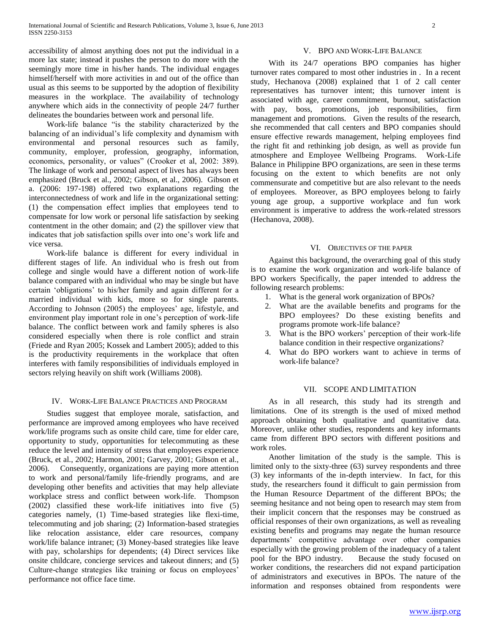accessibility of almost anything does not put the individual in a more lax state; instead it pushes the person to do more with the seemingly more time in his/her hands. The individual engages himself/herself with more activities in and out of the office than usual as this seems to be supported by the adoption of flexibility measures in the workplace. The availability of technology anywhere which aids in the connectivity of people 24/7 further delineates the boundaries between work and personal life.

 Work-life balance "is the stability characterized by the balancing of an individual's life complexity and dynamism with environmental and personal resources such as family, community, employer, profession, geography, information, economics, personality, or values" (Crooker et al, 2002: 389). The linkage of work and personal aspect of lives has always been emphasized (Bruck et al., 2002; Gibson, et al., 2006). Gibson et a. (2006: 197-198) offered two explanations regarding the interconnectedness of work and life in the organizational setting: (1) the compensation effect implies that employees tend to compensate for low work or personal life satisfaction by seeking contentment in the other domain; and (2) the spillover view that indicates that job satisfaction spills over into one's work life and vice versa.

 Work-life balance is different for every individual in different stages of life. An individual who is fresh out from college and single would have a different notion of work-life balance compared with an individual who may be single but have certain 'obligations' to his/her family and again different for a married individual with kids, more so for single parents. According to Johnson (2005) the employees' age, lifestyle, and environment play important role in one's perception of work-life balance. The conflict between work and family spheres is also considered especially when there is role conflict and strain (Friede and Ryan 2005; Kossek and Lambert 2005); added to this is the productivity requirements in the workplace that often interferes with family responsibilities of individuals employed in sectors relying heavily on shift work (Williams 2008).

#### IV. WORK-LIFE BALANCE PRACTICES AND PROGRAM

 Studies suggest that employee morale, satisfaction, and performance are improved among employees who have received work/life programs such as onsite child care, time for elder care, opportunity to study, opportunities for telecommuting as these reduce the level and intensity of stress that employees experience (Bruck, et al., 2002; Harmon, 2001; Garvey, 2001; Gibson et al., 2006). Consequently, organizations are paying more attention to work and personal/family life-friendly programs, and are developing other benefits and activities that may help alleviate workplace stress and conflict between work-life. Thompson (2002) classified these work-life initiatives into five (5) categories namely, (1) Time-based strategies like flexi-time, telecommuting and job sharing; (2) Information-based strategies like relocation assistance, elder care resources, company work/life balance intranet; (3) Money-based strategies like leave with pay, scholarships for dependents; (4) Direct services like onsite childcare, concierge services and takeout dinners; and (5) Culture-change strategies like training or focus on employees' performance not office face time.

#### V. BPO AND WORK-LIFE BALANCE

 With its 24/7 operations BPO companies has higher turnover rates compared to most other industries in . In a recent study, Hechanova (2008) explained that 1 of 2 call center representatives has turnover intent; this turnover intent is associated with age, career commitment, burnout, satisfaction with pay, boss, promotions, job responsibilities, firm management and promotions. Given the results of the research, she recommended that call centers and BPO companies should ensure effective rewards management, helping employees find the right fit and rethinking job design, as well as provide fun atmosphere and Employee Wellbeing Programs. Work-Life Balance in Philippine BPO organizations, are seen in these terms focusing on the extent to which benefits are not only commensurate and competitive but are also relevant to the needs of employees. Moreover, as BPO employees belong to fairly young age group, a supportive workplace and fun work environment is imperative to address the work-related stressors (Hechanova, 2008).

#### VI. OBJECTIVES OF THE PAPER

 Against this background, the overarching goal of this study is to examine the work organization and work-life balance of BPO workers Specifically, the paper intended to address the following research problems:

- 1. What is the general work organization of BPOs?
- 2. What are the available benefits and programs for the BPO employees? Do these existing benefits and programs promote work-life balance?
- 3. What is the BPO workers' perception of their work-life balance condition in their respective organizations?
- 4. What do BPO workers want to achieve in terms of work-life balance?

#### VII. SCOPE AND LIMITATION

 As in all research, this study had its strength and limitations. One of its strength is the used of mixed method approach obtaining both qualitative and quantitative data. Moreover, unlike other studies, respondents and key informants came from different BPO sectors with different positions and work roles.

 Another limitation of the study is the sample. This is limited only to the sixty-three (63) survey respondents and three (3) key informants of the in-depth interview. In fact, for this study, the researchers found it difficult to gain permission from the Human Resource Department of the different BPOs; the seeming hesitance and not being open to research may stem from their implicit concern that the responses may be construed as official responses of their own organizations, as well as revealing existing benefits and programs may negate the human resource departments' competitive advantage over other companies especially with the growing problem of the inadequacy of a talent pool for the BPO industry. Because the study focused on worker conditions, the researchers did not expand participation of administrators and executives in BPOs. The nature of the information and responses obtained from respondents were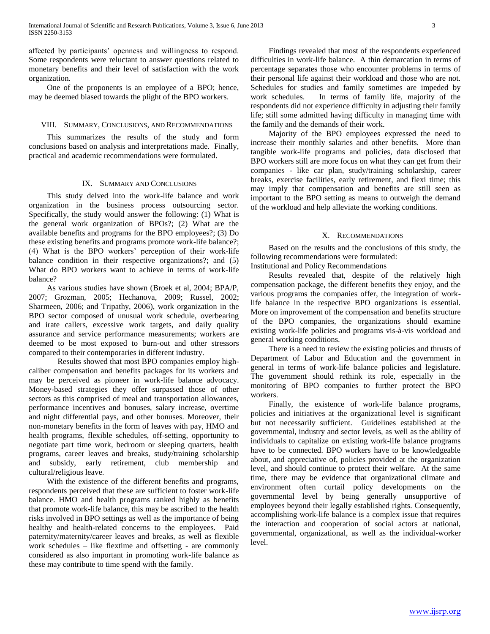affected by participants' openness and willingness to respond. Some respondents were reluctant to answer questions related to monetary benefits and their level of satisfaction with the work organization.

 One of the proponents is an employee of a BPO; hence, may be deemed biased towards the plight of the BPO workers.

#### VIII. SUMMARY, CONCLUSIONS, AND RECOMMENDATIONS

 This summarizes the results of the study and form conclusions based on analysis and interpretations made. Finally, practical and academic recommendations were formulated.

#### IX. SUMMARY AND CONCLUSIONS

 This study delved into the work-life balance and work organization in the business process outsourcing sector. Specifically, the study would answer the following: (1) What is the general work organization of BPOs?; (2) What are the available benefits and programs for the BPO employees?; (3) Do these existing benefits and programs promote work-life balance?; (4) What is the BPO workers' perception of their work-life balance condition in their respective organizations?; and (5) What do BPO workers want to achieve in terms of work-life balance?

 As various studies have shown (Broek et al, 2004; BPA/P, 2007; Grozman, 2005; Hechanova, 2009; Russel, 2002; Sharmeen, 2006; and Tripathy, 2006), work organization in the BPO sector composed of unusual work schedule, overbearing and irate callers, excessive work targets, and daily quality assurance and service performance measurements; workers are deemed to be most exposed to burn-out and other stressors compared to their contemporaries in different industry.

Results showed that most BPO companies employ highcaliber compensation and benefits packages for its workers and may be perceived as pioneer in work-life balance advocacy. Money-based strategies they offer surpassed those of other sectors as this comprised of meal and transportation allowances, performance incentives and bonuses, salary increase, overtime and night differential pays, and other bonuses. Moreover, their non-monetary benefits in the form of leaves with pay, HMO and health programs, flexible schedules, off-setting, opportunity to negotiate part time work, bedroom or sleeping quarters, health programs, career leaves and breaks, study/training scholarship and subsidy, early retirement, club membership and cultural/religious leave.

 With the existence of the different benefits and programs, respondents perceived that these are sufficient to foster work-life balance. HMO and health programs ranked highly as benefits that promote work-life balance, this may be ascribed to the health risks involved in BPO settings as well as the importance of being healthy and health-related concerns to the employees. Paid paternity/maternity/career leaves and breaks, as well as flexible work schedules – like flextime and offsetting - are commonly considered as also important in promoting work-life balance as these may contribute to time spend with the family.

 Findings revealed that most of the respondents experienced difficulties in work-life balance. A thin demarcation in terms of percentage separates those who encounter problems in terms of their personal life against their workload and those who are not. Schedules for studies and family sometimes are impeded by work schedules. In terms of family life, majority of the respondents did not experience difficulty in adjusting their family life; still some admitted having difficulty in managing time with the family and the demands of their work.

 Majority of the BPO employees expressed the need to increase their monthly salaries and other benefits. More than tangible work-life programs and policies, data disclosed that BPO workers still are more focus on what they can get from their companies - like car plan, study/training scholarship, career breaks, exercise facilities, early retirement, and flexi time; this may imply that compensation and benefits are still seen as important to the BPO setting as means to outweigh the demand of the workload and help alleviate the working conditions.

#### X. RECOMMENDATIONS

 Based on the results and the conclusions of this study, the following recommendations were formulated:

Institutional and Policy Recommendations

 Results revealed that, despite of the relatively high compensation package, the different benefits they enjoy, and the various programs the companies offer, the integration of worklife balance in the respective BPO organizations is essential. More on improvement of the compensation and benefits structure of the BPO companies, the organizations should examine existing work-life policies and programs vis-à-vis workload and general working conditions.

 There is a need to review the existing policies and thrusts of Department of Labor and Education and the government in general in terms of work-life balance policies and legislature. The government should rethink its role, especially in the monitoring of BPO companies to further protect the BPO workers.

 Finally, the existence of work-life balance programs, policies and initiatives at the organizational level is significant but not necessarily sufficient. Guidelines established at the governmental, industry and sector levels, as well as the ability of individuals to capitalize on existing work-life balance programs have to be connected. BPO workers have to be knowledgeable about, and appreciative of, policies provided at the organization level, and should continue to protect their welfare. At the same time, there may be evidence that organizational climate and environment often curtail policy developments on the governmental level by being generally unsupportive of employees beyond their legally established rights. Consequently, accomplishing work-life balance is a complex issue that requires the interaction and cooperation of social actors at national, governmental, organizational, as well as the individual-worker level.